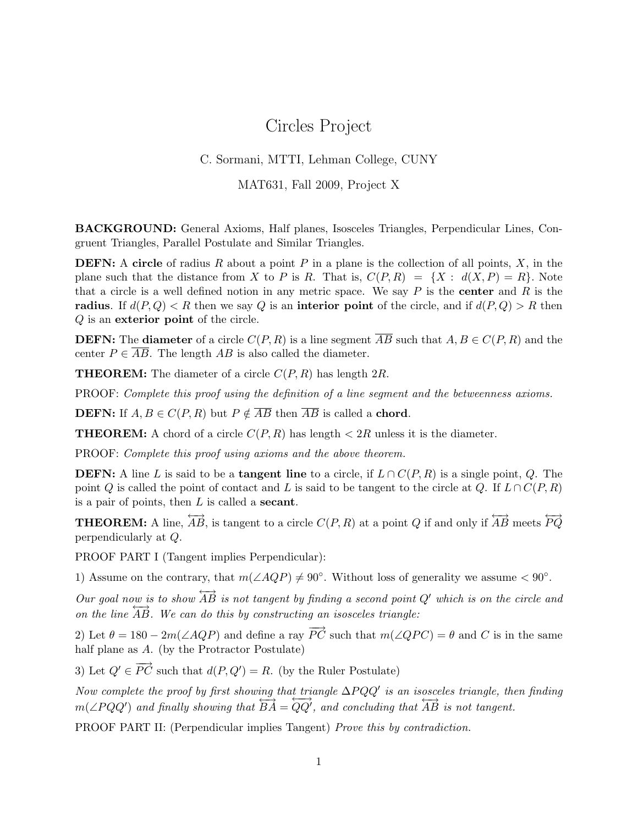## Circles Project

#### C. Sormani, MTTI, Lehman College, CUNY

MAT631, Fall 2009, Project X

BACKGROUND: General Axioms, Half planes, Isosceles Triangles, Perpendicular Lines, Congruent Triangles, Parallel Postulate and Similar Triangles.

**DEFN:** A circle of radius R about a point P in a plane is the collection of all points, X, in the plane such that the distance from X to P is R. That is,  $C(P, R) = \{X : d(X, P) = R\}$ . Note that a circle is a well defined notion in any metric space. We say  $P$  is the **center** and  $R$  is the radius. If  $d(P,Q) < R$  then we say Q is an interior point of the circle, and if  $d(P,Q) > R$  then Q is an exterior point of the circle.

**DEFN:** The **diameter** of a circle  $C(P, R)$  is a line segment  $\overline{AB}$  such that  $A, B \in C(P, R)$  and the center  $P \in \overline{AB}$ . The length AB is also called the diameter.

**THEOREM:** The diameter of a circle  $C(P, R)$  has length 2R.

PROOF: Complete this proof using the definition of a line segment and the betweenness axioms.

**DEFN:** If  $A, B \in C(P, R)$  but  $P \notin \overline{AB}$  then  $\overline{AB}$  is called a **chord**.

**THEOREM:** A chord of a circle  $C(P, R)$  has length  $\lt 2R$  unless it is the diameter.

PROOF: Complete this proof using axioms and the above theorem.

**DEFN:** A line L is said to be a **tangent line** to a circle, if  $L \cap C(P, R)$  is a single point, Q. The point Q is called the point of contact and L is said to be tangent to the circle at Q. If  $L \cap C(P, R)$ is a pair of points, then  $L$  is called a **secant**.

**THEOREM:** A line,  $\overleftrightarrow{AB}$ , is tangent to a circle  $C(P, R)$  at a point Q if and only if  $\overleftrightarrow{AB}$  meets  $\overleftrightarrow{PQ}$ perpendicularly at Q.

PROOF PART I (Tangent implies Perpendicular):

1) Assume on the contrary, that  $m(\angle AQP) \neq 90^{\circ}$ . Without loss of generality we assume < 90°.

Our goal now is to show  $\overrightarrow{AB}$  is not tangent by finding a second point Q' which is on the circle and on the line  $\overrightarrow{AB}$ . We can do this by constructing an isosceles triangle:

2) Let  $\theta = 180 - 2m(\angle AQP)$  and define a ray  $\overrightarrow{PC}$  such that  $m(\angle QPC) = \theta$  and C is in the same half plane as A. (by the Protractor Postulate)

3) Let  $Q' \in \overrightarrow{PC}$  such that  $d(P, Q') = R$ . (by the Ruler Postulate)

Now complete the proof by first showing that triangle  $\Delta PQQ'$  is an isosceles triangle, then finding  $m(\angle PQQ')$  and finally showing that  $\overleftrightarrow{BA} = \overleftrightarrow{QQ'}$ , and concluding that  $\overleftrightarrow{AB}$  is not tangent.

PROOF PART II: (Perpendicular implies Tangent) Prove this by contradiction.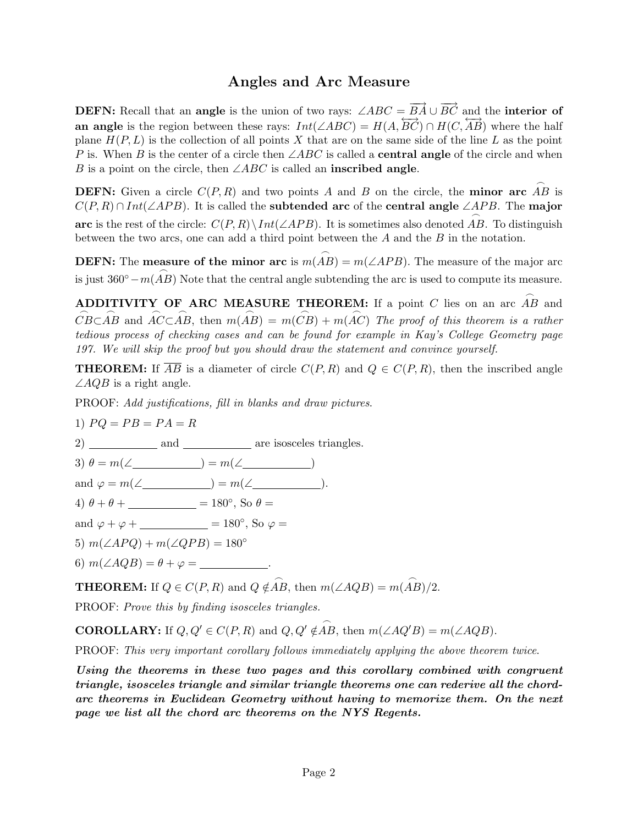## Angles and Arc Measure

**DEFN:** Recall that an **angle** is the union of two rays:  $\angle ABC = \overrightarrow{BA} \cup \overrightarrow{BC}$  and the **interior of** an angle is the region between these rays:  $Int(\angle ABC) = H(A, \overrightarrow{BC}) \cap H(C, \overrightarrow{AB})$  where the half plane  $H(P, L)$  is the collection of all points X that are on the same side of the line L as the point P is. When B is the center of a circle then  $\angle ABC$  is called a **central angle** of the circle and when B is a point on the circle, then  $\angle ABC$  is called an **inscribed angle.** 

**DEFN:** Given a circle  $C(P, R)$  and two points A and B on the circle, the **minor arc**  $\stackrel{\frown}{AB}$  is  $C(P, R) \cap Int(\angle APB)$ . It is called the **subtended arc** of the **central angle** ∠*APB*. The **major** arc is the rest of the circle:  $C(P,R)\setminus Int(\angle APB)$ . It is sometimes also denoted  $\stackrel{\frown}{AB}$ . To distinguish between the two arcs, one can add a third point between the A and the B in the notation.

**DEFN:** The **measure of the minor arc** is  $m(\stackrel{\frown}{AB}) = m(\angle APB)$ . The measure of the major arc is just  $360° - m(\stackrel{\frown}{AB})$  Note that the central angle subtending the arc is used to compute its measure.

**ADDITIVITY OF ARC MEASURE THEOREM:** If a point C lies on an arc  $\stackrel{\frown}{AB}$  and  $\stackrel{\frown}{CB} \subset \stackrel{\frown}{AB}$  and  $\stackrel{\frown}{AC} \subset \stackrel{\frown}{AB}$ , then  $m(\stackrel{\frown}{AB}) = m(\stackrel{\frown}{CB}) + m(\stackrel{\frown}{AC})$  The proof of this theorem is a rather tedious process of checking cases and can be found for example in Kay's College Geometry page 197. We will skip the proof but you should draw the statement and convince yourself.

**THEOREM:** If  $\overline{AB}$  is a diameter of circle  $C(P, R)$  and  $Q \in C(P, R)$ , then the inscribed angle  $\angle AQB$  is a right angle.

PROOF: Add justifications, fill in blanks and draw pictures.

$$
1) PQ = PB = PA = R
$$

2) and are isosceles triangles. 3)  $\theta = m(\angle \_) = m(\angle \_)$ and  $\varphi = m(\angle) = m(\angle)$ . 4)  $\theta + \theta +$  = 180°, So  $\theta =$ and  $\varphi + \varphi +$  = 180°, So  $\varphi =$ 5)  $m(\angle APQ) + m(\angle QPB) = 180^\circ$ 6)  $m(\angle AQB) = \theta + \varphi =$ 

**THEOREM:** If  $Q \in C(P, R)$  and  $Q \notin \widehat{AB}$ , then  $m(\angle AQB) = m(\widehat{AB})/2$ .

PROOF: Prove this by finding isosceles triangles.

**COROLLARY:** If  $Q, Q' \in C(P, R)$  and  $Q, Q' \notin \stackrel{\frown}{AB}$ , then  $m(\angle AQ'B) = m(\angle AQB)$ .

PROOF: This very important corollary follows immediately applying the above theorem twice.

Using the theorems in these two pages and this corollary combined with congruent triangle, isosceles triangle and similar triangle theorems one can rederive all the chordarc theorems in Euclidean Geometry without having to memorize them. On the next page we list all the chord arc theorems on the NYS Regents.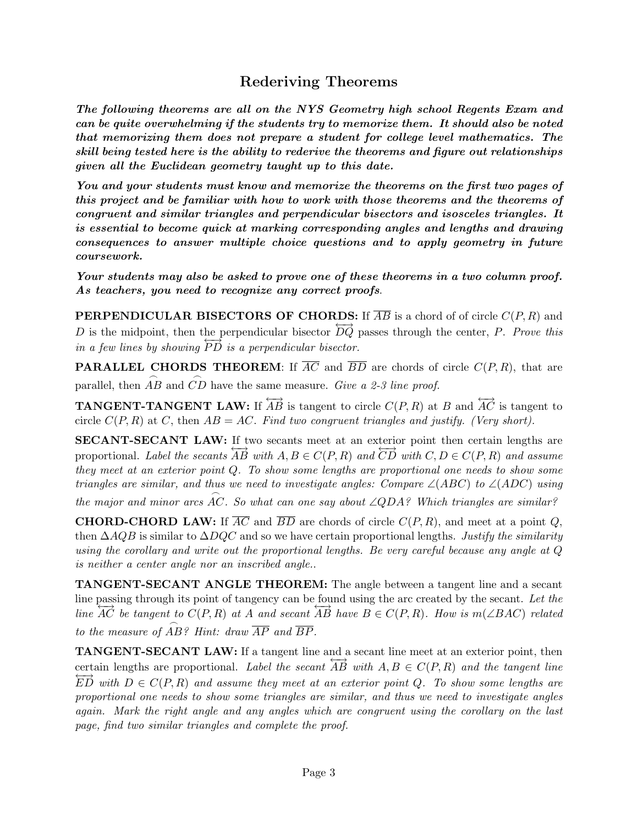# Rederiving Theorems

The following theorems are all on the NYS Geometry high school Regents Exam and can be quite overwhelming if the students try to memorize them. It should also be noted that memorizing them does not prepare a student for college level mathematics. The skill being tested here is the ability to rederive the theorems and figure out relationships given all the Euclidean geometry taught up to this date.

You and your students must know and memorize the theorems on the first two pages of this project and be familiar with how to work with those theorems and the theorems of congruent and similar triangles and perpendicular bisectors and isosceles triangles. It is essential to become quick at marking corresponding angles and lengths and drawing consequences to answer multiple choice questions and to apply geometry in future coursework.

Your students may also be asked to prove one of these theorems in a two column proof. As teachers, you need to recognize any correct proofs.

**PERPENDICULAR BISECTORS OF CHORDS:** If  $\overline{AB}$  is a chord of of circle  $C(P, R)$  and D is the midpoint, then the perpendicular bisector  $\overline{DQ}$  passes through the center, P. Prove this in a few lines by showing  $\overrightarrow{PD}$  is a perpendicular bisector.

**PARALLEL CHORDS THEOREM:** If  $\overline{AC}$  and  $\overline{BD}$  are chords of circle  $C(P, R)$ , that are parallel, then  $\stackrel{\frown}{AB}$  and  $\stackrel{\frown}{CD}$  have the same measure. Give a 2-3 line proof.

**TANGENT-TANGENT LAW:** If  $\overleftrightarrow{AB}$  is tangent to circle  $C(P, R)$  at B and  $\overleftrightarrow{AC}$  is tangent to circle  $C(P, R)$  at C, then  $AB = AC$ . Find two congruent triangles and justify. (Very short).

SECANT-SECANT LAW: If two secants meet at an exterior point then certain lengths are proportional. Label the secants  $\overrightarrow{AB}$  with  $A, B \in C(P, R)$  and  $\overrightarrow{CD}$  with  $C, D \in C(P, R)$  and assume they meet at an exterior point Q. To show some lengths are proportional one needs to show some triangles are similar, and thus we need to investigate angles: Compare  $\angle(ABC)$  to  $\angle(ADC)$  using the major and minor arcs  $\widehat{AC}$ . So what can one say about ∠QDA? Which triangles are similar?

**CHORD-CHORD LAW:** If  $\overline{AC}$  and  $\overline{BD}$  are chords of circle  $C(P, R)$ , and meet at a point Q, then  $\Delta AQB$  is similar to  $\Delta DQC$  and so we have certain proportional lengths. Justify the similarity using the corollary and write out the proportional lengths. Be very careful because any angle at Q is neither a center angle nor an inscribed angle..

TANGENT-SECANT ANGLE THEOREM: The angle between a tangent line and a secant line passing through its point of tangency can be found using the arc created by the secant. Let the line  $\overrightarrow{AC}$  be tangent to  $C(P,R)$  at A and secant  $\overrightarrow{AB}$  have  $B \in C(P,R)$ . How is m( $\angle BAC$ ) related to the measure of  $\stackrel{\sim}{AB}$ ? Hint: draw  $\overline{AP}$  and  $\overline{BP}$ .

TANGENT-SECANT LAW: If a tangent line and a secant line meet at an exterior point, then certain lengths are proportional. Label the secant  $\overrightarrow{AB}$  with  $A, B \in C(P, R)$  and the tangent line  $\overleftrightarrow{ED}$  with  $D \in C(P, R)$  and assume they meet at an exterior point Q. To show some lengths are proportional one needs to show some triangles are similar, and thus we need to investigate angles again. Mark the right angle and any angles which are congruent using the corollary on the last page, find two similar triangles and complete the proof.